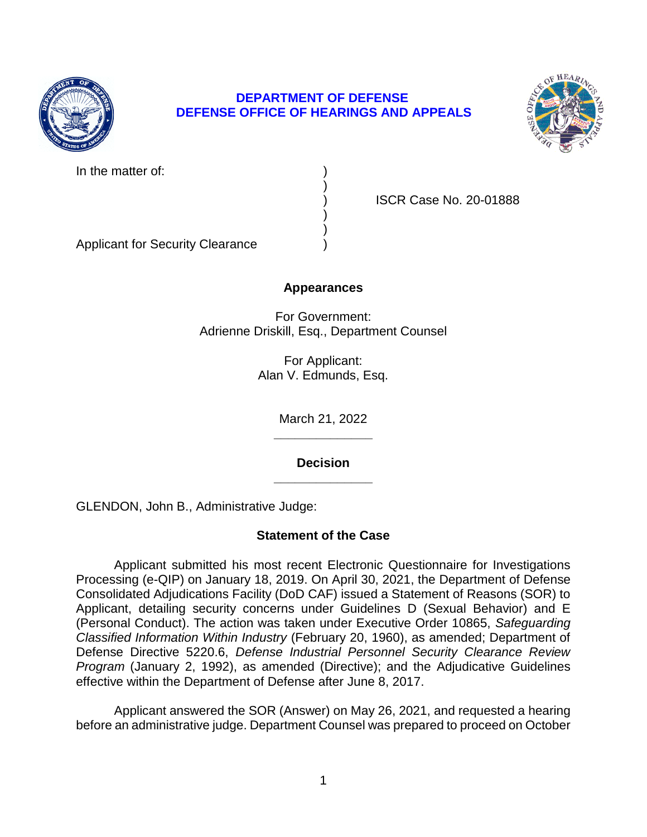

# **DEPARTMENT OF DEFENSE DEFENSE OFFICE OF HEARINGS AND APPEALS**

)

) )



In the matter of:

) ISCR Case No. 20-01888

Applicant for Security Clearance )

## **Appearances**

For Government: Adrienne Driskill, Esq., Department Counsel

> For Applicant: Alan V. Edmunds, Esq.

> > **\_\_\_\_\_\_\_\_\_\_\_\_\_\_**  March 21, 2022

> > **\_\_\_\_\_\_\_\_\_\_\_\_\_\_ Decision**

GLENDON, John B., Administrative Judge:

# **Statement of the Case**

 Processing (e-QIP) on January 18, 2019. On April 30, 2021, the Department of Defense Consolidated Adjudications Facility (DoD CAF) issued a Statement of Reasons (SOR) to Applicant, detailing security concerns under Guidelines D (Sexual Behavior) and E (Personal Conduct). The action was taken under Executive Order 10865, *Safeguarding*  Defense Directive 5220.6, *Defense Industrial Personnel Security Clearance Review Program* (January 2, 1992), as amended (Directive); and the Adjudicative Guidelines Applicant submitted his most recent Electronic Questionnaire for Investigations *Classified Information Within Industry* (February 20, 1960), as amended; Department of effective within the Department of Defense after June 8, 2017.

 Applicant answered the SOR (Answer) on May 26, 2021, and requested a hearing before an administrative judge. Department Counsel was prepared to proceed on October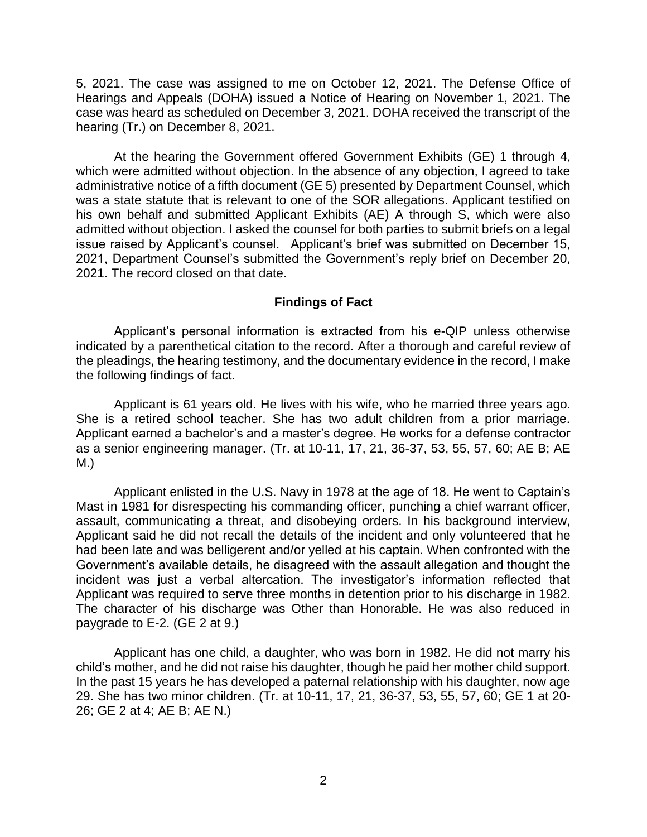5, 2021. The case was assigned to me on October 12, 2021. The Defense Office of case was heard as scheduled on December 3, 2021. DOHA received the transcript of the Hearings and Appeals (DOHA) issued a Notice of Hearing on November 1, 2021. The hearing (Tr.) on December 8, 2021.

 At the hearing the Government offered Government Exhibits (GE) 1 through 4, which were admitted without objection. In the absence of any objection, I agreed to take administrative notice of a fifth document (GE 5) presented by Department Counsel, which was a state statute that is relevant to one of the SOR allegations. Applicant testified on his own behalf and submitted Applicant Exhibits (AE) A through S, which were also admitted without objection. I asked the counsel for both parties to submit briefs on a legal issue raised by Applicant's counsel. Applicant's brief was submitted on December 15, 2021, Department Counsel's submitted the Government's reply brief on December 20, 2021. The record closed on that date.

### **Findings of Fact**

 Applicant's personal information is extracted from his e-QIP unless otherwise indicated by a parenthetical citation to the record. After a thorough and careful review of the pleadings, the hearing testimony, and the documentary evidence in the record, I make the following findings of fact.

 Applicant is 61 years old. He lives with his wife, who he married three years ago. She is a retired school teacher. She has two adult children from a prior marriage. as a senior engineering manager. (Tr. at 10-11, 17, 21, 36-37, 53, 55, 57, 60; AE B; AE Applicant earned a bachelor's and a master's degree. He works for a defense contractor M.)

 Applicant enlisted in the U.S. Navy in 1978 at the age of 18. He went to Captain's Mast in 1981 for disrespecting his commanding officer, punching a chief warrant officer, assault, communicating a threat, and disobeying orders. In his background interview, Applicant said he did not recall the details of the incident and only volunteered that he Government's available details, he disagreed with the assault allegation and thought the incident was just a verbal altercation. The investigator's information reflected that Applicant was required to serve three months in detention prior to his discharge in 1982. The character of his discharge was Other than Honorable. He was also reduced in had been late and was belligerent and/or yelled at his captain. When confronted with the paygrade to E-2. (GE 2 at 9.)

Applicant has one child, a daughter, who was born in 1982. He did not marry his child's mother, and he did not raise his daughter, though he paid her mother child support. In the past 15 years he has developed a paternal relationship with his daughter, now age 29. She has two minor children. (Tr. at 10-11, 17, 21, 36-37, 53, 55, 57, 60; GE 1 at 20- 26; GE 2 at 4; AE B; AE N.)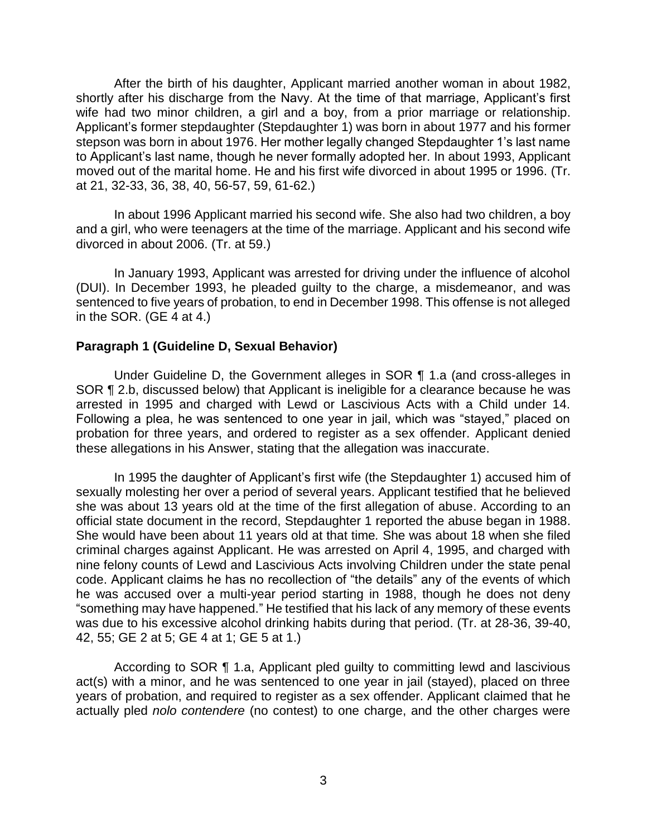After the birth of his daughter, Applicant married another woman in about 1982, shortly after his discharge from the Navy. At the time of that marriage, Applicant's first wife had two minor children, a girl and a boy, from a prior marriage or relationship. Applicant's former stepdaughter (Stepdaughter 1) was born in about 1977 and his former stepson was born in about 1976. Her mother legally changed Stepdaughter 1's last name to Applicant's last name, though he never formally adopted her. In about 1993, Applicant moved out of the marital home. He and his first wife divorced in about 1995 or 1996. (Tr. at 21, 32-33, 36, 38, 40, 56-57, 59, 61-62.)

 In about 1996 Applicant married his second wife. She also had two children, a boy and a girl, who were teenagers at the time of the marriage. Applicant and his second wife divorced in about 2006. (Tr. at 59.)

 In January 1993, Applicant was arrested for driving under the influence of alcohol (DUI). In December 1993, he pleaded guilty to the charge, a misdemeanor, and was sentenced to five years of probation, to end in December 1998. This offense is not alleged in the SOR. (GE 4 at 4.)

### **Paragraph 1 (Guideline D, Sexual Behavior)**

 Under Guideline D, the Government alleges in SOR ¶ 1.a (and cross-alleges in SOR ¶ 2.b, discussed below) that Applicant is ineligible for a clearance because he was arrested in 1995 and charged with Lewd or Lascivious Acts with a Child under 14. Following a plea, he was sentenced to one year in jail, which was "stayed," placed on probation for three years, and ordered to register as a sex offender. Applicant denied these allegations in his Answer, stating that the allegation was inaccurate.

 In 1995 the daughter of Applicant's first wife (the Stepdaughter 1) accused him of sexually molesting her over a period of several years. Applicant testified that he believed she was about 13 years old at the time of the first allegation of abuse. According to an official state document in the record, Stepdaughter 1 reported the abuse began in 1988. She would have been about 11 years old at that time*.* She was about 18 when she filed criminal charges against Applicant. He was arrested on April 4, 1995, and charged with nine felony counts of Lewd and Lascivious Acts involving Children under the state penal code. Applicant claims he has no recollection of "the details" any of the events of which he was accused over a multi-year period starting in 1988, though he does not deny "something may have happened." He testified that his lack of any memory of these events was due to his excessive alcohol drinking habits during that period. (Tr. at 28-36, 39-40, 42, 55; GE 2 at 5; GE 4 at 1; GE 5 at 1.)

 According to SOR ¶ 1.a, Applicant pled guilty to committing lewd and lascivious act(s) with a minor, and he was sentenced to one year in jail (stayed), placed on three years of probation, and required to register as a sex offender. Applicant claimed that he actually pled *nolo contendere* (no contest) to one charge, and the other charges were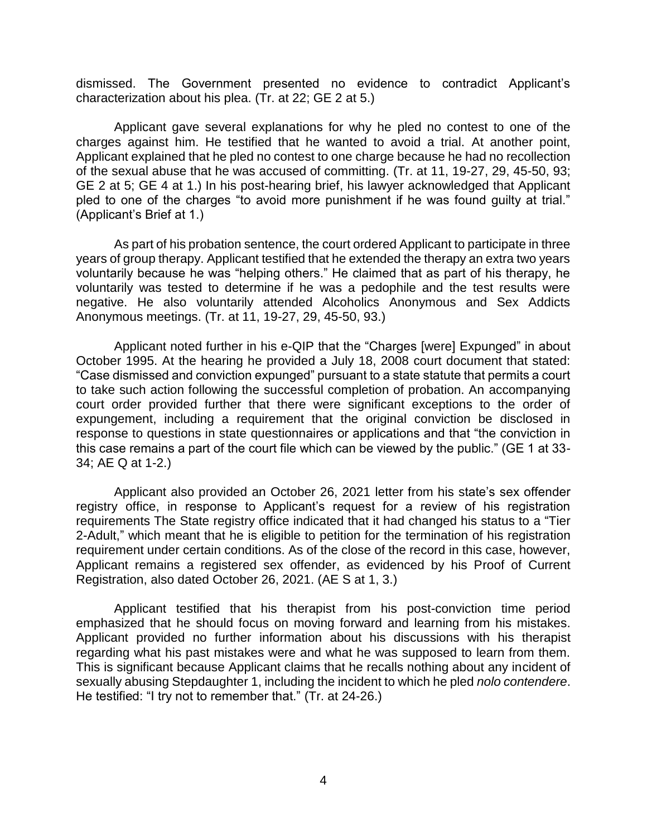dismissed. The Government presented no evidence to contradict Applicant's characterization about his plea. (Tr. at 22; GE 2 at 5.)

 Applicant gave several explanations for why he pled no contest to one of the charges against him. He testified that he wanted to avoid a trial. At another point, Applicant explained that he pled no contest to one charge because he had no recollection of the sexual abuse that he was accused of committing. (Tr. at 11, 19-27, 29, 45-50, 93; GE 2 at 5; GE 4 at 1.) In his post-hearing brief, his lawyer acknowledged that Applicant pled to one of the charges "to avoid more punishment if he was found guilty at trial." (Applicant's Brief at 1.)

 As part of his probation sentence, the court ordered Applicant to participate in three years of group therapy. Applicant testified that he extended the therapy an extra two years voluntarily because he was "helping others." He claimed that as part of his therapy, he voluntarily was tested to determine if he was a pedophile and the test results were negative. He also voluntarily attended Alcoholics Anonymous and Sex Addicts Anonymous meetings. (Tr. at 11, 19-27, 29, 45-50, 93.)

Applicant noted further in his e-QIP that the "Charges [were] Expunged" in about October 1995. At the hearing he provided a July 18, 2008 court document that stated: "Case dismissed and conviction expunged" pursuant to a state statute that permits a court to take such action following the successful completion of probation. An accompanying court order provided further that there were significant exceptions to the order of expungement, including a requirement that the original conviction be disclosed in response to questions in state questionnaires or applications and that "the conviction in this case remains a part of the court file which can be viewed by the public." (GE 1 at 33- 34; AE Q at 1-2.)

 Applicant also provided an October 26, 2021 letter from his state's sex offender registry office, in response to Applicant's request for a review of his registration 2-Adult," which meant that he is eligible to petition for the termination of his registration requirement under certain conditions. As of the close of the record in this case, however, Applicant remains a registered sex offender, as evidenced by his Proof of Current requirements The State registry office indicated that it had changed his status to a "Tier Registration, also dated October 26, 2021. (AE S at 1, 3.)

 Applicant testified that his therapist from his post-conviction time period emphasized that he should focus on moving forward and learning from his mistakes. Applicant provided no further information about his discussions with his therapist regarding what his past mistakes were and what he was supposed to learn from them. This is significant because Applicant claims that he recalls nothing about any incident of sexually abusing Stepdaughter 1, including the incident to which he pled *nolo contendere*. He testified: "I try not to remember that." (Tr. at 24-26.) 4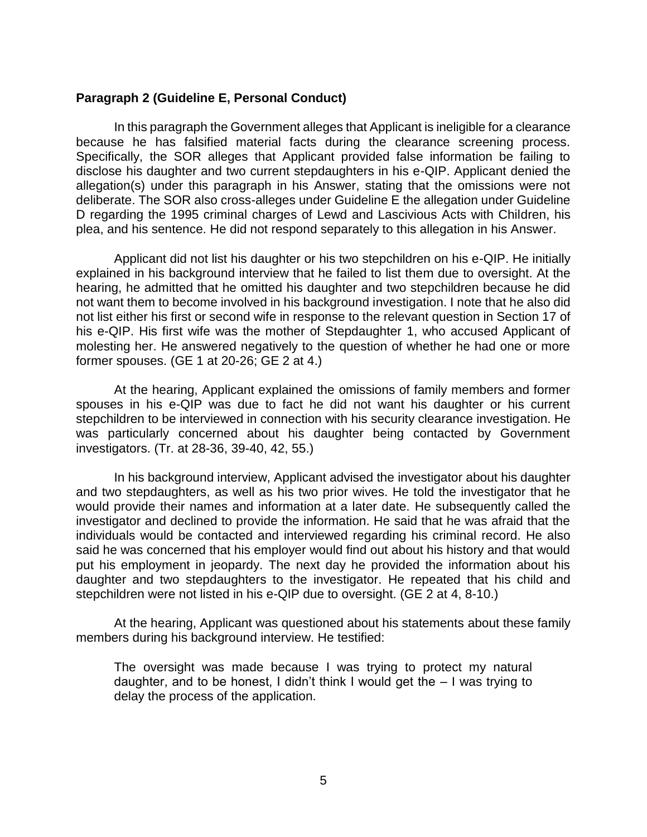### **Paragraph 2 (Guideline E, Personal Conduct)**

 because he has falsified material facts during the clearance screening process. Specifically, the SOR alleges that Applicant provided false information be failing to disclose his daughter and two current stepdaughters in his e-QIP. Applicant denied the allegation(s) under this paragraph in his Answer, stating that the omissions were not deliberate. The SOR also cross-alleges under Guideline E the allegation under Guideline D regarding the 1995 criminal charges of Lewd and Lascivious Acts with Children, his In this paragraph the Government alleges that Applicant is ineligible for a clearance plea, and his sentence. He did not respond separately to this allegation in his Answer.

 Applicant did not list his daughter or his two stepchildren on his e-QIP. He initially explained in his background interview that he failed to list them due to oversight. At the hearing, he admitted that he omitted his daughter and two stepchildren because he did not want them to become involved in his background investigation. I note that he also did not list either his first or second wife in response to the relevant question in Section 17 of his e-QIP. His first wife was the mother of Stepdaughter 1, who accused Applicant of molesting her. He answered negatively to the question of whether he had one or more former spouses. (GE 1 at 20-26; GE 2 at 4.)

 At the hearing, Applicant explained the omissions of family members and former spouses in his e-QIP was due to fact he did not want his daughter or his current was particularly concerned about his daughter being contacted by Government stepchildren to be interviewed in connection with his security clearance investigation. He investigators. (Tr. at 28-36, 39-40, 42, 55.)

 In his background interview, Applicant advised the investigator about his daughter and two stepdaughters, as well as his two prior wives. He told the investigator that he would provide their names and information at a later date. He subsequently called the investigator and declined to provide the information. He said that he was afraid that the individuals would be contacted and interviewed regarding his criminal record. He also said he was concerned that his employer would find out about his history and that would put his employment in jeopardy. The next day he provided the information about his daughter and two stepdaughters to the investigator. He repeated that his child and stepchildren were not listed in his e-QIP due to oversight. (GE 2 at 4, 8-10.)

 At the hearing, Applicant was questioned about his statements about these family members during his background interview. He testified:

The oversight was made because I was trying to protect my natural daughter, and to be honest, I didn't think I would get the – I was trying to delay the process of the application.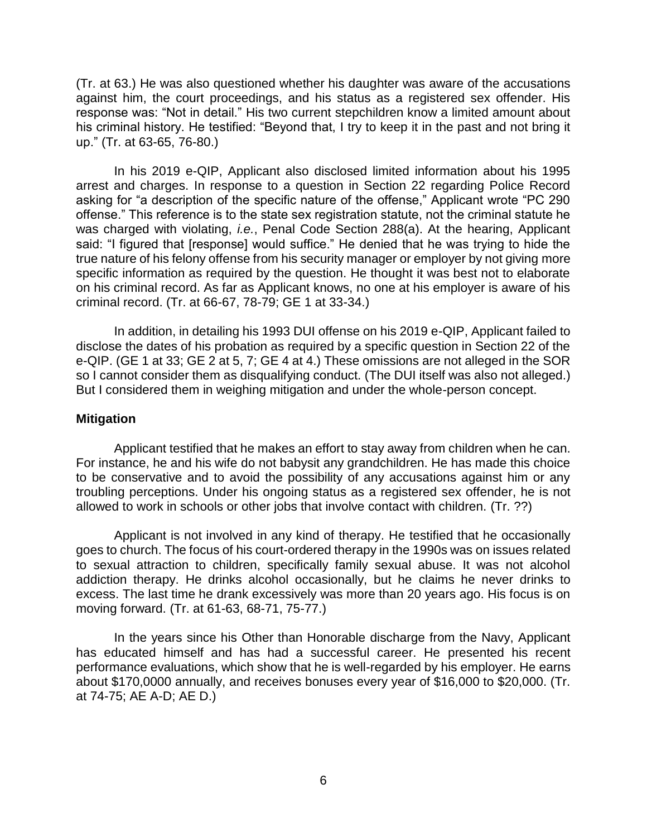(Tr. at 63.) He was also questioned whether his daughter was aware of the accusations against him, the court proceedings, and his status as a registered sex offender. His response was: "Not in detail." His two current stepchildren know a limited amount about his criminal history. He testified: "Beyond that, I try to keep it in the past and not bring it up." (Tr. at 63-65, 76-80.)

 In his 2019 e-QIP, Applicant also disclosed limited information about his 1995 arrest and charges. In response to a question in Section 22 regarding Police Record asking for "a description of the specific nature of the offense," Applicant wrote "PC 290 offense." This reference is to the state sex registration statute, not the criminal statute he was charged with violating, *i.e.*, Penal Code Section 288(a). At the hearing, Applicant said: "I figured that [response] would suffice." He denied that he was trying to hide the true nature of his felony offense from his security manager or employer by not giving more specific information as required by the question. He thought it was best not to elaborate on his criminal record. As far as Applicant knows, no one at his employer is aware of his criminal record. (Tr. at 66-67, 78-79; GE 1 at 33-34.)

 In addition, in detailing his 1993 DUI offense on his 2019 e-QIP, Applicant failed to disclose the dates of his probation as required by a specific question in Section 22 of the e-QIP. (GE 1 at 33; GE 2 at 5, 7; GE 4 at 4.) These omissions are not alleged in the SOR so I cannot consider them as disqualifying conduct. (The DUI itself was also not alleged.) But I considered them in weighing mitigation and under the whole-person concept.

### **Mitigation**

 Applicant testified that he makes an effort to stay away from children when he can. to be conservative and to avoid the possibility of any accusations against him or any troubling perceptions. Under his ongoing status as a registered sex offender, he is not For instance, he and his wife do not babysit any grandchildren. He has made this choice allowed to work in schools or other jobs that involve contact with children. (Tr. ??)

 Applicant is not involved in any kind of therapy. He testified that he occasionally goes to church. The focus of his court-ordered therapy in the 1990s was on issues related to sexual attraction to children, specifically family sexual abuse. It was not alcohol addiction therapy. He drinks alcohol occasionally, but he claims he never drinks to excess. The last time he drank excessively was more than 20 years ago. His focus is on moving forward. (Tr. at 61-63, 68-71, 75-77.)

 In the years since his Other than Honorable discharge from the Navy, Applicant has educated himself and has had a successful career. He presented his recent performance evaluations, which show that he is well-regarded by his employer. He earns about \$170,0000 annually, and receives bonuses every year of \$16,000 to \$20,000. (Tr. at 74-75; AE A-D; AE D.)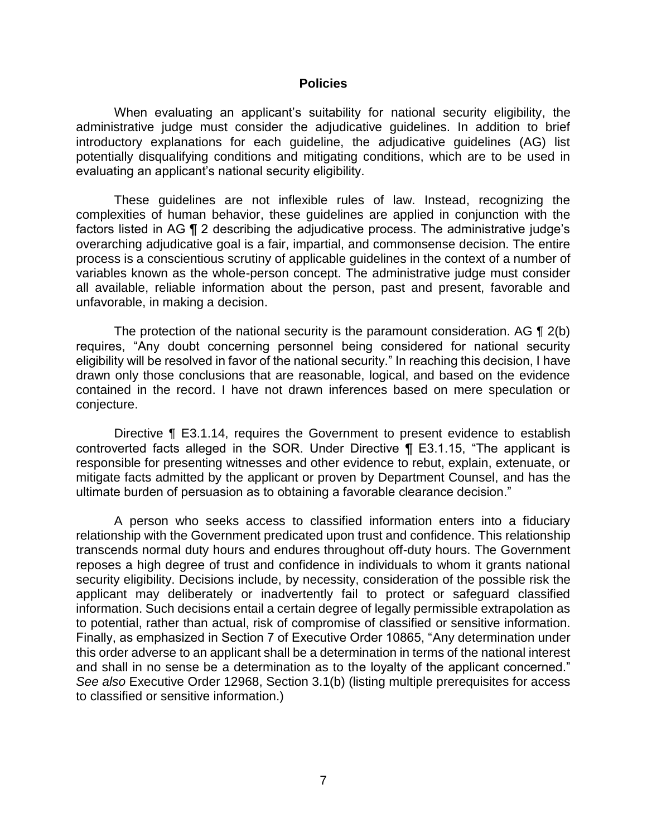#### **Policies**

 When evaluating an applicant's suitability for national security eligibility, the administrative judge must consider the adjudicative guidelines. In addition to brief potentially disqualifying conditions and mitigating conditions, which are to be used in introductory explanations for each guideline, the adjudicative guidelines (AG) list evaluating an applicant's national security eligibility.

 These guidelines are not inflexible rules of law. Instead, recognizing the complexities of human behavior, these guidelines are applied in conjunction with the factors listed in AG ¶ 2 describing the adjudicative process. The administrative judge's overarching adjudicative goal is a fair, impartial, and commonsense decision. The entire variables known as the whole-person concept. The administrative judge must consider all available, reliable information about the person, past and present, favorable and process is a conscientious scrutiny of applicable guidelines in the context of a number of unfavorable, in making a decision.

The protection of the national security is the paramount consideration. AG  $\P$  2(b) requires, "Any doubt concerning personnel being considered for national security eligibility will be resolved in favor of the national security." In reaching this decision, I have drawn only those conclusions that are reasonable, logical, and based on the evidence contained in the record. I have not drawn inferences based on mere speculation or conjecture.

Directive ¶ E3.1.14, requires the Government to present evidence to establish controverted facts alleged in the SOR. Under Directive ¶ E3.1.15, "The applicant is responsible for presenting witnesses and other evidence to rebut, explain, extenuate, or mitigate facts admitted by the applicant or proven by Department Counsel, and has the ultimate burden of persuasion as to obtaining a favorable clearance decision."

 A person who seeks access to classified information enters into a fiduciary relationship with the Government predicated upon trust and confidence. This relationship transcends normal duty hours and endures throughout off-duty hours. The Government reposes a high degree of trust and confidence in individuals to whom it grants national security eligibility. Decisions include, by necessity, consideration of the possible risk the applicant may deliberately or inadvertently fail to protect or safeguard classified information. Such decisions entail a certain degree of legally permissible extrapolation as to potential, rather than actual, risk of compromise of classified or sensitive information. Finally, as emphasized in Section 7 of Executive Order 10865, "Any determination under this order adverse to an applicant shall be a determination in terms of the national interest and shall in no sense be a determination as to the loyalty of the applicant concerned." *See also* Executive Order 12968, Section 3.1(b) (listing multiple prerequisites for access to classified or sensitive information.)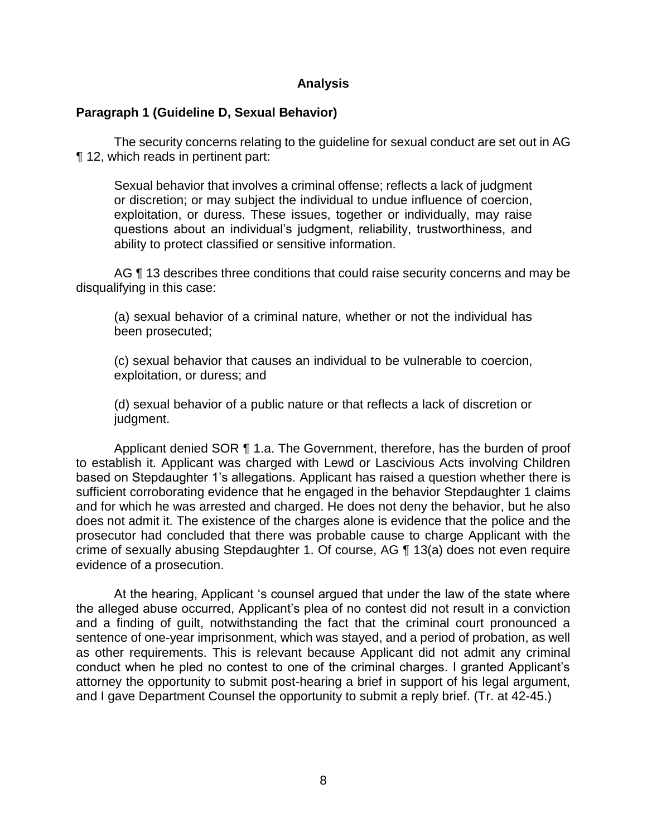### **Analysis**

## **Paragraph 1 (Guideline D, Sexual Behavior)**

 The security concerns relating to the guideline for sexual conduct are set out in AG ¶ 12, which reads in pertinent part:

Sexual behavior that involves a criminal offense; reflects a lack of judgment or discretion; or may subject the individual to undue influence of coercion, exploitation, or duress. These issues, together or individually, may raise questions about an individual's judgment, reliability, trustworthiness, and ability to protect classified or sensitive information.

AG ¶ 13 describes three conditions that could raise security concerns and may be disqualifying in this case:

(a) sexual behavior of a criminal nature, whether or not the individual has been prosecuted;

(c) sexual behavior that causes an individual to be vulnerable to coercion, exploitation, or duress; and

(d) sexual behavior of a public nature or that reflects a lack of discretion or judgment.

Applicant denied SOR ¶ 1.a. The Government, therefore, has the burden of proof to establish it. Applicant was charged with Lewd or Lascivious Acts involving Children based on Stepdaughter 1's allegations. Applicant has raised a question whether there is and for which he was arrested and charged. He does not deny the behavior, but he also does not admit it. The existence of the charges alone is evidence that the police and the prosecutor had concluded that there was probable cause to charge Applicant with the crime of sexually abusing Stepdaughter 1. Of course, AG ¶ 13(a) does not even require sufficient corroborating evidence that he engaged in the behavior Stepdaughter 1 claims evidence of a prosecution.

 At the hearing, Applicant 's counsel argued that under the law of the state where the alleged abuse occurred, Applicant's plea of no contest did not result in a conviction and a finding of guilt, notwithstanding the fact that the criminal court pronounced a sentence of one-year imprisonment, which was stayed, and a period of probation, as well conduct when he pled no contest to one of the criminal charges. I granted Applicant's attorney the opportunity to submit post-hearing a brief in support of his legal argument, as other requirements. This is relevant because Applicant did not admit any criminal and I gave Department Counsel the opportunity to submit a reply brief. (Tr. at 42-45.)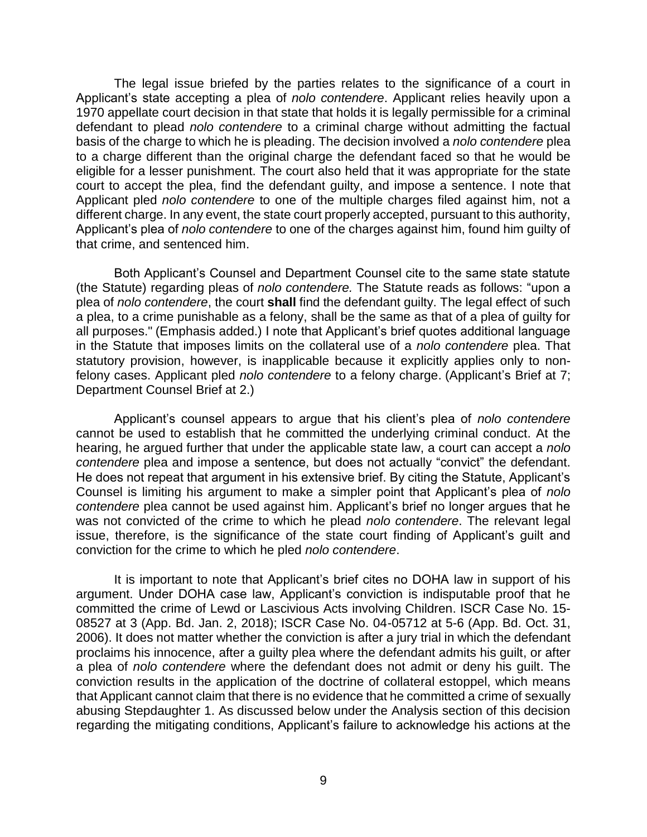The legal issue briefed by the parties relates to the significance of a court in Applicant's state accepting a plea of *nolo contendere*. Applicant relies heavily upon a 1970 appellate court decision in that state that holds it is legally permissible for a criminal defendant to plead *nolo contendere* to a criminal charge without admitting the factual basis of the charge to which he is pleading. The decision involved a *nolo contendere* plea to a charge different than the original charge the defendant faced so that he would be eligible for a lesser punishment. The court also held that it was appropriate for the state court to accept the plea, find the defendant guilty, and impose a sentence. I note that Applicant pled *nolo contendere* to one of the multiple charges filed against him, not a different charge. In any event, the state court properly accepted, pursuant to this authority, Applicant's plea of *nolo contendere* to one of the charges against him, found him guilty of that crime, and sentenced him.

 Both Applicant's Counsel and Department Counsel cite to the same state statute (the Statute) regarding pleas of *nolo contendere.* The Statute reads as follows: "upon a plea of *nolo contendere*, the court **shall** find the defendant guilty. The legal effect of such a plea, to a crime punishable as a felony, shall be the same as that of a plea of guilty for all purposes." (Emphasis added.) I note that Applicant's brief quotes additional language in the Statute that imposes limits on the collateral use of a *nolo contendere* plea. That statutory provision, however, is inapplicable because it explicitly applies only to non- felony cases. Applicant pled *nolo contendere* to a felony charge. (Applicant's Brief at 7; Department Counsel Brief at 2.)

 Applicant's counsel appears to argue that his client's plea of *nolo contendere*  cannot be used to establish that he committed the underlying criminal conduct. At the hearing, he argued further that under the applicable state law, a court can accept a *nolo contendere* plea and impose a sentence, but does not actually "convict" the defendant. He does not repeat that argument in his extensive brief. By citing the Statute, Applicant's Counsel is limiting his argument to make a simpler point that Applicant's plea of *nolo contendere* plea cannot be used against him. Applicant's brief no longer argues that he was not convicted of the crime to which he plead *nolo contendere*. The relevant legal issue, therefore, is the significance of the state court finding of Applicant's guilt and conviction for the crime to which he pled *nolo contendere*.

It is important to note that Applicant's brief cites no DOHA law in support of his argument. Under DOHA case law, Applicant's conviction is indisputable proof that he committed the crime of Lewd or Lascivious Acts involving Children. ISCR Case No. 15- 08527 at 3 (App. Bd. Jan. 2, 2018); ISCR Case No. 04-05712 at 5-6 (App. Bd. Oct. 31, 2006). It does not matter whether the conviction is after a jury trial in which the defendant proclaims his innocence, after a guilty plea where the defendant admits his guilt, or after a plea of *nolo contendere* where the defendant does not admit or deny his guilt. The conviction results in the application of the doctrine of collateral estoppel, which means that Applicant cannot claim that there is no evidence that he committed a crime of sexually abusing Stepdaughter 1. As discussed below under the Analysis section of this decision regarding the mitigating conditions, Applicant's failure to acknowledge his actions at the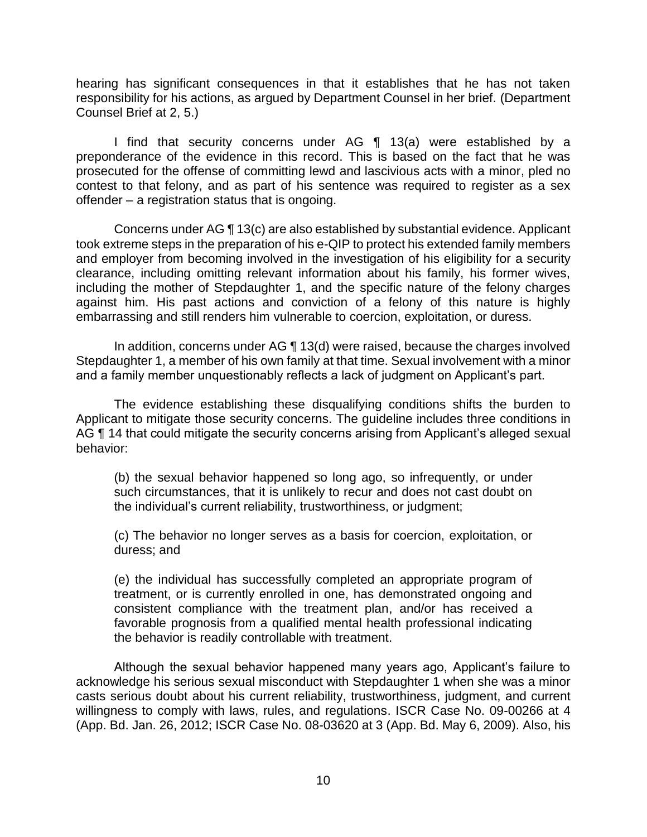responsibility for his actions, as argued by Department Counsel in her brief. (Department hearing has significant consequences in that it establishes that he has not taken Counsel Brief at 2, 5.)

I find that security concerns under AG ¶ 13(a) were established by a preponderance of the evidence in this record. This is based on the fact that he was prosecuted for the offense of committing lewd and lascivious acts with a minor, pled no contest to that felony, and as part of his sentence was required to register as a sex offender – a registration status that is ongoing.

 Concerns under AG ¶ 13(c) are also established by substantial evidence. Applicant took extreme steps in the preparation of his e-QIP to protect his extended family members and employer from becoming involved in the investigation of his eligibility for a security clearance, including omitting relevant information about his family, his former wives, including the mother of Stepdaughter 1, and the specific nature of the felony charges against him. His past actions and conviction of a felony of this nature is highly embarrassing and still renders him vulnerable to coercion, exploitation, or duress.

 In addition, concerns under AG ¶ 13(d) were raised, because the charges involved Stepdaughter 1, a member of his own family at that time. Sexual involvement with a minor and a family member unquestionably reflects a lack of judgment on Applicant's part.

 The evidence establishing these disqualifying conditions shifts the burden to Applicant to mitigate those security concerns. The guideline includes three conditions in AG ¶ 14 that could mitigate the security concerns arising from Applicant's alleged sexual behavior:

(b) the sexual behavior happened so long ago, so infrequently, or under such circumstances, that it is unlikely to recur and does not cast doubt on the individual's current reliability, trustworthiness, or judgment;

(c) The behavior no longer serves as a basis for coercion, exploitation, or duress; and

(e) the individual has successfully completed an appropriate program of treatment, or is currently enrolled in one, has demonstrated ongoing and consistent compliance with the treatment plan, and/or has received a favorable prognosis from a qualified mental health professional indicating the behavior is readily controllable with treatment.

 Although the sexual behavior happened many years ago, Applicant's failure to acknowledge his serious sexual misconduct with Stepdaughter 1 when she was a minor casts serious doubt about his current reliability, trustworthiness, judgment, and current willingness to comply with laws, rules, and regulations. ISCR Case No. 09-00266 at 4 (App. Bd. Jan. 26, 2012; ISCR Case No. 08-03620 at 3 (App. Bd. May 6, 2009). Also, his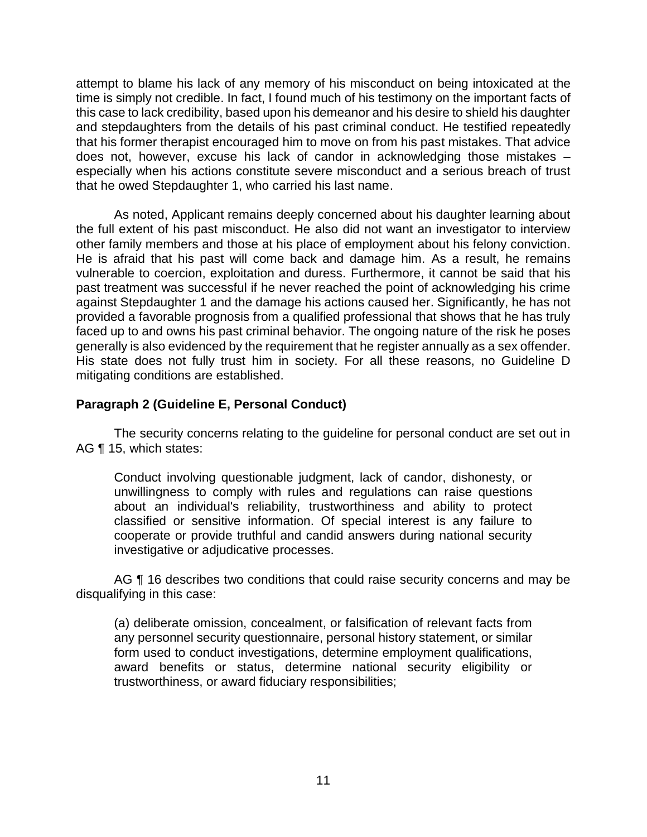attempt to blame his lack of any memory of his misconduct on being intoxicated at the time is simply not credible. In fact, I found much of his testimony on the important facts of this case to lack credibility, based upon his demeanor and his desire to shield his daughter and stepdaughters from the details of his past criminal conduct. He testified repeatedly that his former therapist encouraged him to move on from his past mistakes. That advice does not, however, excuse his lack of candor in acknowledging those mistakes – especially when his actions constitute severe misconduct and a serious breach of trust that he owed Stepdaughter 1, who carried his last name.

 As noted, Applicant remains deeply concerned about his daughter learning about the full extent of his past misconduct. He also did not want an investigator to interview other family members and those at his place of employment about his felony conviction. He is afraid that his past will come back and damage him. As a result, he remains vulnerable to coercion, exploitation and duress. Furthermore, it cannot be said that his past treatment was successful if he never reached the point of acknowledging his crime against Stepdaughter 1 and the damage his actions caused her. Significantly, he has not provided a favorable prognosis from a qualified professional that shows that he has truly faced up to and owns his past criminal behavior. The ongoing nature of the risk he poses generally is also evidenced by the requirement that he register annually as a sex offender. His state does not fully trust him in society. For all these reasons, no Guideline D mitigating conditions are established.

# **Paragraph 2 (Guideline E, Personal Conduct)**

 The security concerns relating to the guideline for personal conduct are set out in AG ¶ 15, which states:

Conduct involving questionable judgment, lack of candor, dishonesty, or unwillingness to comply with rules and regulations can raise questions about an individual's reliability, trustworthiness and ability to protect classified or sensitive information. Of special interest is any failure to cooperate or provide truthful and candid answers during national security investigative or adjudicative processes.

AG  $\P$  16 describes two conditions that could raise security concerns and may be disqualifying in this case:

(a) deliberate omission, concealment, or falsification of relevant facts from any personnel security questionnaire, personal history statement, or similar form used to conduct investigations, determine employment qualifications, award benefits or status, determine national security eligibility or trustworthiness, or award fiduciary responsibilities;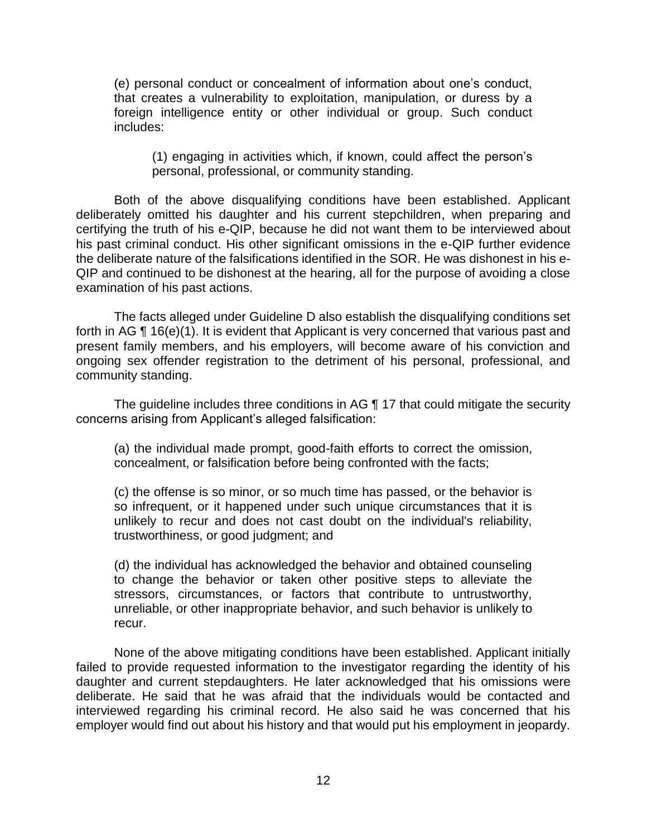(e) personal conduct or concealment of information about one's conduct, that creates a vulnerability to exploitation, manipulation, or duress by a foreign intelligence entity or other individual or group. Such conduct includes:

(1) engaging in activities which, if known, could affect the person's personal, professional, or community standing.

 Both of the above disqualifying conditions have been established. Applicant deliberately omitted his daughter and his current stepchildren, when preparing and certifying the truth of his e-QIP, because he did not want them to be interviewed about the deliberate nature of the falsifications identified in the SOR. He was dishonest in his e- QIP and continued to be dishonest at the hearing, all for the purpose of avoiding a close his past criminal conduct. His other significant omissions in the e-QIP further evidence examination of his past actions.

 The facts alleged under Guideline D also establish the disqualifying conditions set present family members, and his employers, will become aware of his conviction and ongoing sex offender registration to the detriment of his personal, professional, and forth in AG ¶ 16(e)(1). It is evident that Applicant is very concerned that various past and community standing.

The guideline includes three conditions in AG ¶ 17 that could mitigate the security concerns arising from Applicant's alleged falsification:

(a) the individual made prompt, good-faith efforts to correct the omission, concealment, or falsification before being confronted with the facts;

(c) the offense is so minor, or so much time has passed, or the behavior is so infrequent, or it happened under such unique circumstances that it is unlikely to recur and does not cast doubt on the individual's reliability, trustworthiness, or good judgment; and

(d) the individual has acknowledged the behavior and obtained counseling to change the behavior or taken other positive steps to alleviate the stressors, circumstances, or factors that contribute to untrustworthy, unreliable, or other inappropriate behavior, and such behavior is unlikely to recur.

 None of the above mitigating conditions have been established. Applicant initially failed to provide requested information to the investigator regarding the identity of his daughter and current stepdaughters. He later acknowledged that his omissions were deliberate. He said that he was afraid that the individuals would be contacted and interviewed regarding his criminal record. He also said he was concerned that his employer would find out about his history and that would put his employment in jeopardy.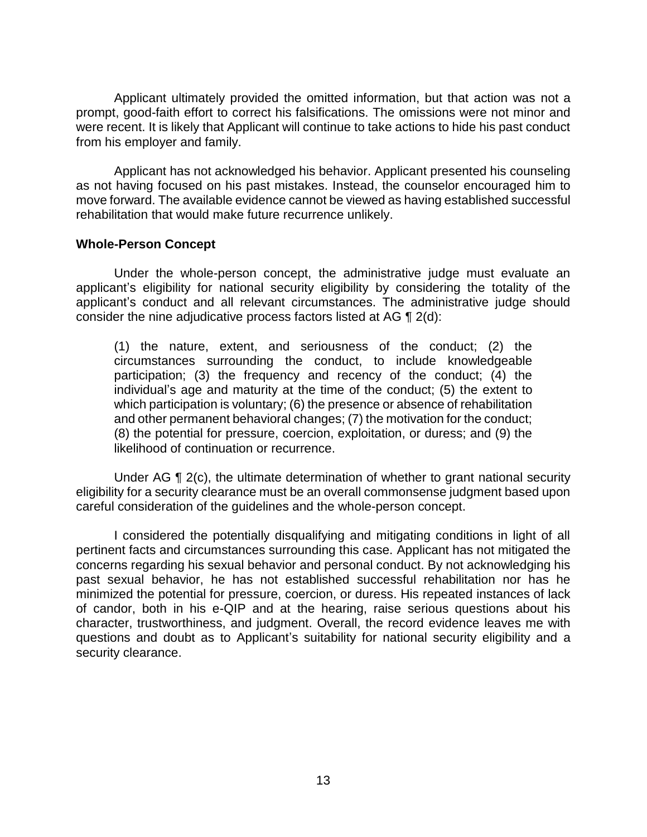Applicant ultimately provided the omitted information, but that action was not a were recent. It is likely that Applicant will continue to take actions to hide his past conduct prompt, good-faith effort to correct his falsifications. The omissions were not minor and from his employer and family.

 as not having focused on his past mistakes. Instead, the counselor encouraged him to move forward. The available evidence cannot be viewed as having established successful Applicant has not acknowledged his behavior. Applicant presented his counseling rehabilitation that would make future recurrence unlikely.

### **Whole-Person Concept**

 Under the whole-person concept, the administrative judge must evaluate an applicant's eligibility for national security eligibility by considering the totality of the applicant's conduct and all relevant circumstances. The administrative judge should consider the nine adjudicative process factors listed at AG ¶ 2(d):

(1) the nature, extent, and seriousness of the conduct; (2) the circumstances surrounding the conduct, to include knowledgeable participation; (3) the frequency and recency of the conduct; (4) the individual's age and maturity at the time of the conduct; (5) the extent to which participation is voluntary; (6) the presence or absence of rehabilitation and other permanent behavioral changes; (7) the motivation for the conduct; (8) the potential for pressure, coercion, exploitation, or duress; and (9) the likelihood of continuation or recurrence.

Under AG ¶ 2(c), the ultimate determination of whether to grant national security eligibility for a security clearance must be an overall commonsense judgment based upon careful consideration of the guidelines and the whole-person concept.

 I considered the potentially disqualifying and mitigating conditions in light of all concerns regarding his sexual behavior and personal conduct. By not acknowledging his past sexual behavior, he has not established successful rehabilitation nor has he minimized the potential for pressure, coercion, or duress. His repeated instances of lack of candor, both in his e-QIP and at the hearing, raise serious questions about his character, trustworthiness, and judgment. Overall, the record evidence leaves me with questions and doubt as to Applicant's suitability for national security eligibility and a pertinent facts and circumstances surrounding this case. Applicant has not mitigated the security clearance.